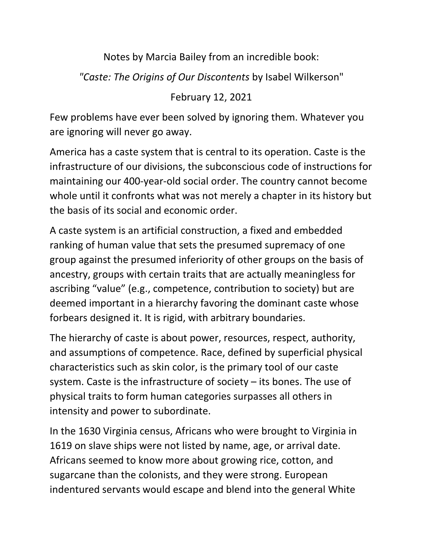## Notes by Marcia Bailey from an incredible book:

## *"Caste: The Origins of Our Discontents* by Isabel Wilkerson"

## February 12, 2021

Few problems have ever been solved by ignoring them. Whatever you are ignoring will never go away.

America has a caste system that is central to its operation. Caste is the infrastructure of our divisions, the subconscious code of instructions for maintaining our 400-year-old social order. The country cannot become whole until it confronts what was not merely a chapter in its history but the basis of its social and economic order.

A caste system is an artificial construction, a fixed and embedded ranking of human value that sets the presumed supremacy of one group against the presumed inferiority of other groups on the basis of ancestry, groups with certain traits that are actually meaningless for ascribing "value" (e.g., competence, contribution to society) but are deemed important in a hierarchy favoring the dominant caste whose forbears designed it. It is rigid, with arbitrary boundaries.

The hierarchy of caste is about power, resources, respect, authority, and assumptions of competence. Race, defined by superficial physical characteristics such as skin color, is the primary tool of our caste system. Caste is the infrastructure of society – its bones. The use of physical traits to form human categories surpasses all others in intensity and power to subordinate.

In the 1630 Virginia census, Africans who were brought to Virginia in 1619 on slave ships were not listed by name, age, or arrival date. Africans seemed to know more about growing rice, cotton, and sugarcane than the colonists, and they were strong. European indentured servants would escape and blend into the general White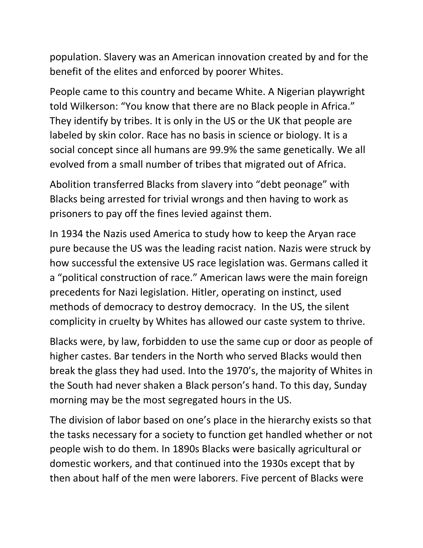population. Slavery was an American innovation created by and for the benefit of the elites and enforced by poorer Whites.

People came to this country and became White. A Nigerian playwright told Wilkerson: "You know that there are no Black people in Africa." They identify by tribes. It is only in the US or the UK that people are labeled by skin color. Race has no basis in science or biology. It is a social concept since all humans are 99.9% the same genetically. We all evolved from a small number of tribes that migrated out of Africa.

Abolition transferred Blacks from slavery into "debt peonage" with Blacks being arrested for trivial wrongs and then having to work as prisoners to pay off the fines levied against them.

In 1934 the Nazis used America to study how to keep the Aryan race pure because the US was the leading racist nation. Nazis were struck by how successful the extensive US race legislation was. Germans called it a "political construction of race." American laws were the main foreign precedents for Nazi legislation. Hitler, operating on instinct, used methods of democracy to destroy democracy. In the US, the silent complicity in cruelty by Whites has allowed our caste system to thrive.

Blacks were, by law, forbidden to use the same cup or door as people of higher castes. Bar tenders in the North who served Blacks would then break the glass they had used. Into the 1970's, the majority of Whites in the South had never shaken a Black person's hand. To this day, Sunday morning may be the most segregated hours in the US.

The division of labor based on one's place in the hierarchy exists so that the tasks necessary for a society to function get handled whether or not people wish to do them. In 1890s Blacks were basically agricultural or domestic workers, and that continued into the 1930s except that by then about half of the men were laborers. Five percent of Blacks were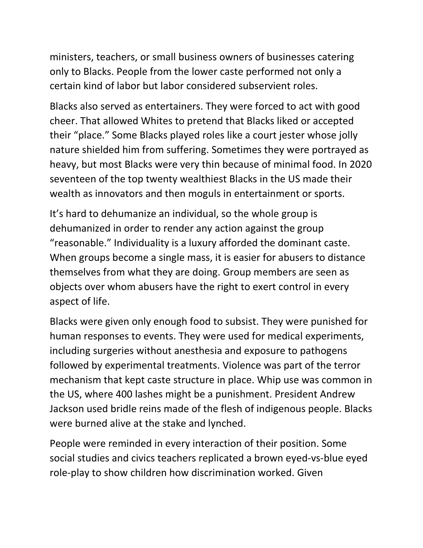ministers, teachers, or small business owners of businesses catering only to Blacks. People from the lower caste performed not only a certain kind of labor but labor considered subservient roles.

Blacks also served as entertainers. They were forced to act with good cheer. That allowed Whites to pretend that Blacks liked or accepted their "place." Some Blacks played roles like a court jester whose jolly nature shielded him from suffering. Sometimes they were portrayed as heavy, but most Blacks were very thin because of minimal food. In 2020 seventeen of the top twenty wealthiest Blacks in the US made their wealth as innovators and then moguls in entertainment or sports.

It's hard to dehumanize an individual, so the whole group is dehumanized in order to render any action against the group "reasonable." Individuality is a luxury afforded the dominant caste. When groups become a single mass, it is easier for abusers to distance themselves from what they are doing. Group members are seen as objects over whom abusers have the right to exert control in every aspect of life.

Blacks were given only enough food to subsist. They were punished for human responses to events. They were used for medical experiments, including surgeries without anesthesia and exposure to pathogens followed by experimental treatments. Violence was part of the terror mechanism that kept caste structure in place. Whip use was common in the US, where 400 lashes might be a punishment. President Andrew Jackson used bridle reins made of the flesh of indigenous people. Blacks were burned alive at the stake and lynched.

People were reminded in every interaction of their position. Some social studies and civics teachers replicated a brown eyed-vs-blue eyed role-play to show children how discrimination worked. Given